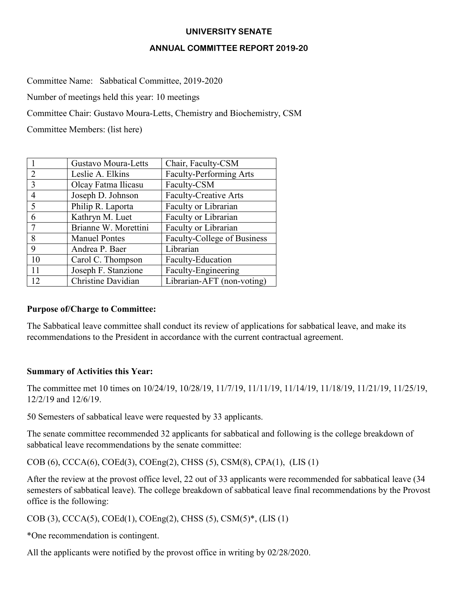#### **UNIVERSITY SENATE**

#### **ANNUAL COMMITTEE REPORT 2019-20**

Committee Name: Sabbatical Committee, 2019-2020

Number of meetings held this year: 10 meetings

Committee Chair: Gustavo Moura-Letts, Chemistry and Biochemistry, CSM

Committee Members: (list here)

|               | Gustavo Moura-Letts  | Chair, Faculty-CSM             |
|---------------|----------------------|--------------------------------|
| $\mathcal{L}$ | Leslie A. Elkins     | <b>Faculty-Performing Arts</b> |
| 3             | Olcay Fatma Ilicasu  | Faculty-CSM                    |
| 4             | Joseph D. Johnson    | <b>Faculty-Creative Arts</b>   |
| 5             | Philip R. Laporta    | Faculty or Librarian           |
| 6             | Kathryn M. Luet      | Faculty or Librarian           |
|               | Brianne W. Morettini | Faculty or Librarian           |
| 8             | <b>Manuel Pontes</b> | Faculty-College of Business    |
| 9             | Andrea P. Baer       | Librarian                      |
| 10            | Carol C. Thompson    | Faculty-Education              |
| 11            | Joseph F. Stanzione  | Faculty-Engineering            |
| 12            | Christine Davidian   | Librarian-AFT (non-voting)     |

# **Purpose of/Charge to Committee:**

The Sabbatical leave committee shall conduct its review of applications for sabbatical leave, and make its recommendations to the President in accordance with the current contractual agreement.

# **Summary of Activities this Year:**

The committee met 10 times on 10/24/19, 10/28/19, 11/7/19, 11/11/19, 11/14/19, 11/18/19, 11/21/19, 11/25/19, 12/2/19 and 12/6/19.

50 Semesters of sabbatical leave were requested by 33 applicants.

The senate committee recommended 32 applicants for sabbatical and following is the college breakdown of sabbatical leave recommendations by the senate committee:

COB (6), CCCA(6), COEd(3), COEng(2), CHSS (5), CSM(8), CPA(1), (LIS (1)

After the review at the provost office level, 22 out of 33 applicants were recommended for sabbatical leave (34 semesters of sabbatical leave). The college breakdown of sabbatical leave final recommendations by the Provost office is the following:

COB (3), CCCA(5), COEd(1), COEng(2), CHSS (5), CSM(5)\*, (LIS (1)

\*One recommendation is contingent.

All the applicants were notified by the provost office in writing by 02/28/2020.